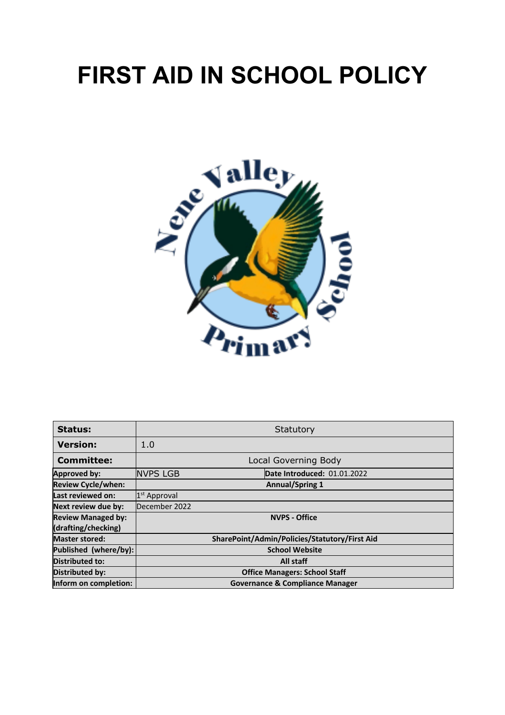# **FIRST AID IN SCHOOL POLICY**



| <b>Status:</b>            | Statutory                |                                               |  |  |  |  |  |
|---------------------------|--------------------------|-----------------------------------------------|--|--|--|--|--|
| <b>Version:</b>           | 1.0                      |                                               |  |  |  |  |  |
| <b>Committee:</b>         | Local Governing Body     |                                               |  |  |  |  |  |
| <b>Approved by:</b>       | <b>NVPS LGB</b>          | Date Introduced: 01.01.2022                   |  |  |  |  |  |
| <b>Review Cycle/when:</b> | <b>Annual/Spring 1</b>   |                                               |  |  |  |  |  |
| Last reviewed on:         | 1 <sup>st</sup> Approval |                                               |  |  |  |  |  |
| Next review due by:       | December 2022            |                                               |  |  |  |  |  |
| <b>Review Managed by:</b> |                          | <b>NVPS - Office</b>                          |  |  |  |  |  |
| (drafting/checking)       |                          |                                               |  |  |  |  |  |
| <b>Master stored:</b>     |                          | SharePoint/Admin/Policies/Statutory/First Aid |  |  |  |  |  |
| Published (where/by):     |                          | <b>School Website</b>                         |  |  |  |  |  |
| <b>Distributed to:</b>    |                          | All staff                                     |  |  |  |  |  |
| Distributed by:           |                          | <b>Office Managers: School Staff</b>          |  |  |  |  |  |
| Inform on completion:     |                          | <b>Governance &amp; Compliance Manager</b>    |  |  |  |  |  |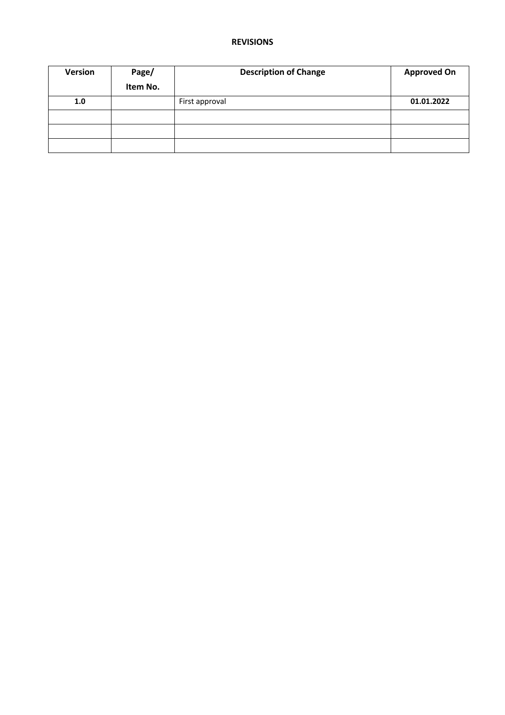#### **REVISIONS**

| Version | Page/    | <b>Description of Change</b> | <b>Approved On</b> |
|---------|----------|------------------------------|--------------------|
|         | Item No. |                              |                    |
| 1.0     |          | First approval               | 01.01.2022         |
|         |          |                              |                    |
|         |          |                              |                    |
|         |          |                              |                    |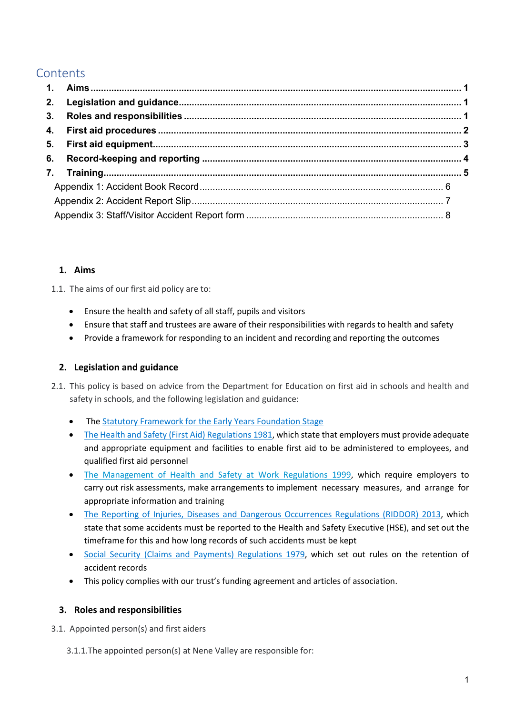### **Contents**

#### **1. Aims**

1.1. The aims of our first aid policy are to:

- Ensure the health and safety of all staff, pupils and visitors
- Ensure that staff and trustees are aware of their responsibilities with regards to health and safety
- Provide a framework for responding to an incident and recording and reporting the outcomes

#### **2. Legislation and guidance**

- 2.1. This policy is based on advice from the Department for Education on first aid in schools and health and safety in schools, and the following legislation and guidance:
	- The Statutory Framework for the Early Years Foundation Stage
	- The Health and Safety (First Aid) Regulations 1981, which state that employers must provide adequate and appropriate equipment and facilities to enable first aid to be administered to employees, and qualified first aid personnel
	- The Management of Health and Safety at Work Regulations 1999, which require employers to carry out risk assessments, make arrangements to implement necessary measures, and arrange for appropriate information and training
	- The Reporting of Injuries, Diseases and Dangerous Occurrences Regulations (RIDDOR) 2013, which state that some accidents must be reported to the Health and Safety Executive (HSE), and set out the timeframe for this and how long records of such accidents must be kept
	- Social Security (Claims and Payments) Regulations 1979, which set out rules on the retention of accident records
	- This policy complies with our trust's funding agreement and articles of association.

#### **3. Roles and responsibilities**

- 3.1. Appointed person(s) and first aiders
	- 3.1.1.The appointed person(s) at Nene Valley are responsible for: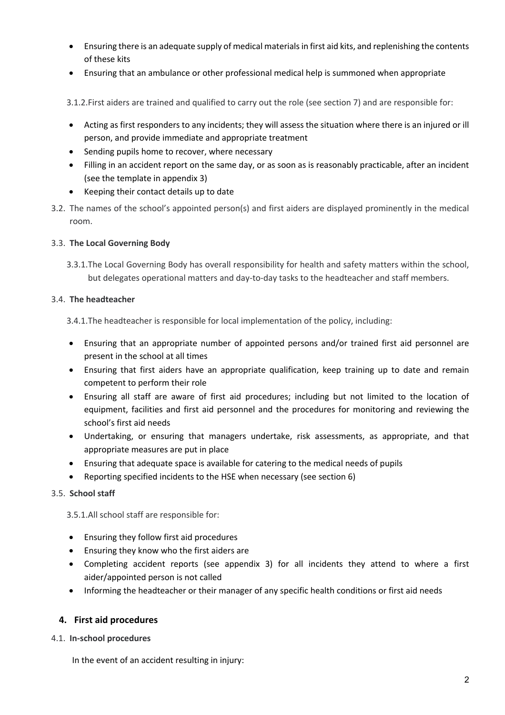- Ensuring there is an adequate supply of medical materials in first aid kits, and replenishing the contents of these kits
- Ensuring that an ambulance or other professional medical help is summoned when appropriate
- 3.1.2.First aiders are trained and qualified to carry out the role (see section 7) and are responsible for:
- Acting as first responders to any incidents; they will assess the situation where there is an injured or ill person, and provide immediate and appropriate treatment
- Sending pupils home to recover, where necessary
- Filling in an accident report on the same day, or as soon as is reasonably practicable, after an incident (see the template in appendix 3)
- Keeping their contact details up to date
- 3.2. The names of the school's appointed person(s) and first aiders are displayed prominently in the medical room.

#### 3.3. **The Local Governing Body**

3.3.1.The Local Governing Body has overall responsibility for health and safety matters within the school, but delegates operational matters and day-to-day tasks to the headteacher and staff members.

#### 3.4. **The headteacher**

- 3.4.1.The headteacher is responsible for local implementation of the policy, including:
- Ensuring that an appropriate number of appointed persons and/or trained first aid personnel are present in the school at all times
- Ensuring that first aiders have an appropriate qualification, keep training up to date and remain competent to perform their role
- Ensuring all staff are aware of first aid procedures; including but not limited to the location of equipment, facilities and first aid personnel and the procedures for monitoring and reviewing the school's first aid needs
- Undertaking, or ensuring that managers undertake, risk assessments, as appropriate, and that appropriate measures are put in place
- Ensuring that adequate space is available for catering to the medical needs of pupils
- Reporting specified incidents to the HSE when necessary (see section 6)

#### 3.5. **School staff**

3.5.1.All school staff are responsible for:

- Ensuring they follow first aid procedures
- Ensuring they know who the first aiders are
- Completing accident reports (see appendix 3) for all incidents they attend to where a first aider/appointed person is not called
- Informing the headteacher or their manager of any specific health conditions or first aid needs

#### **4. First aid procedures**

#### 4.1. **In-school procedures**

In the event of an accident resulting in injury: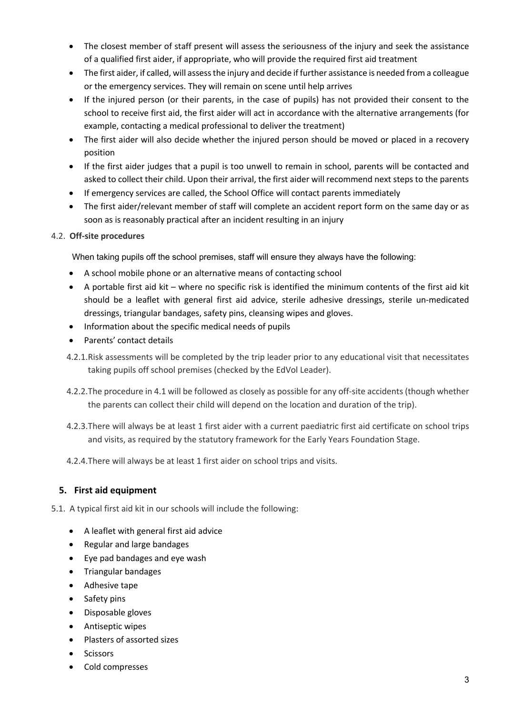- The closest member of staff present will assess the seriousness of the injury and seek the assistance of a qualified first aider, if appropriate, who will provide the required first aid treatment
- The first aider, if called, will assess the injury and decide if further assistance is needed from a colleague or the emergency services. They will remain on scene until help arrives
- If the injured person (or their parents, in the case of pupils) has not provided their consent to the school to receive first aid, the first aider will act in accordance with the alternative arrangements (for example, contacting a medical professional to deliver the treatment)
- The first aider will also decide whether the injured person should be moved or placed in a recovery position
- If the first aider judges that a pupil is too unwell to remain in school, parents will be contacted and asked to collect their child. Upon their arrival, the first aider will recommend next steps to the parents
- If emergency services are called, the School Office will contact parents immediately
- The first aider/relevant member of staff will complete an accident report form on the same day or as soon as is reasonably practical after an incident resulting in an injury

#### 4.2. **Off-site procedures**

When taking pupils off the school premises, staff will ensure they always have the following:

- A school mobile phone or an alternative means of contacting school
- A portable first aid kit where no specific risk is identified the minimum contents of the first aid kit should be a leaflet with general first aid advice, sterile adhesive dressings, sterile un-medicated dressings, triangular bandages, safety pins, cleansing wipes and gloves.
- Information about the specific medical needs of pupils
- Parents' contact details
- 4.2.1.Risk assessments will be completed by the trip leader prior to any educational visit that necessitates taking pupils off school premises (checked by the EdVol Leader).
- 4.2.2.The procedure in 4.1 will be followed as closely as possible for any off-site accidents (though whether the parents can collect their child will depend on the location and duration of the trip).
- 4.2.3.There will always be at least 1 first aider with a current paediatric first aid certificate on school trips and visits, as required by the statutory framework for the Early Years Foundation Stage.
- 4.2.4.There will always be at least 1 first aider on school trips and visits.

#### **5. First aid equipment**

- 5.1. A typical first aid kit in our schools will include the following:
	- A leaflet with general first aid advice
	- Regular and large bandages
	- Eye pad bandages and eye wash
	- Triangular bandages
	- Adhesive tape
	- Safety pins
	- Disposable gloves
	- Antiseptic wipes
	- Plasters of assorted sizes
	- **Scissors**
	- Cold compresses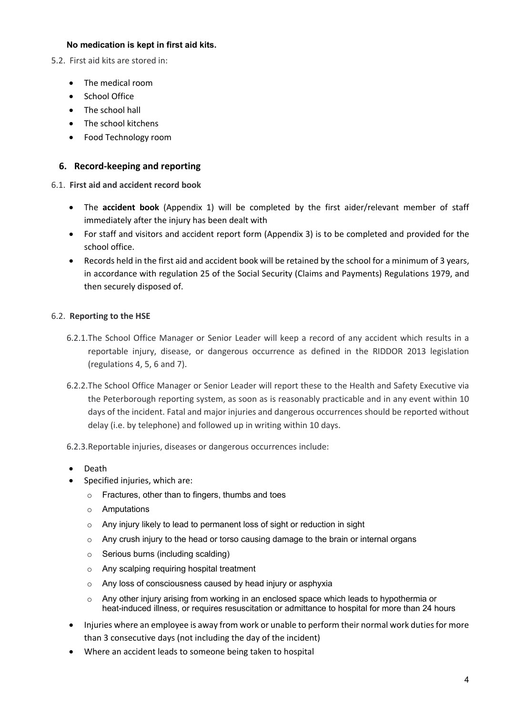#### **No medication is kept in first aid kits.**

- 5.2. First aid kits are stored in:
	- The medical room
	- School Office
	- The school hall
	- The school kitchens
	- Food Technology room

#### **6. Record-keeping and reporting**

#### 6.1. **First aid and accident record book**

- The **accident book** (Appendix 1) will be completed by the first aider/relevant member of staff immediately after the injury has been dealt with
- For staff and visitors and accident report form (Appendix 3) is to be completed and provided for the school office.
- Records held in the first aid and accident book will be retained by the school for a minimum of 3 years, in accordance with regulation 25 of the Social Security (Claims and Payments) Regulations 1979, and then securely disposed of.

#### 6.2. **Reporting to the HSE**

- 6.2.1.The School Office Manager or Senior Leader will keep a record of any accident which results in a reportable injury, disease, or dangerous occurrence as defined in the RIDDOR 2013 legislation (regulations 4, 5, 6 and 7).
- 6.2.2.The School Office Manager or Senior Leader will report these to the Health and Safety Executive via the Peterborough reporting system, as soon as is reasonably practicable and in any event within 10 days of the incident. Fatal and major injuries and dangerous occurrences should be reported without delay (i.e. by telephone) and followed up in writing within 10 days.
- 6.2.3.Reportable injuries, diseases or dangerous occurrences include:
- Death
- Specified injuries, which are:
	- o Fractures, other than to fingers, thumbs and toes
	- o Amputations
	- o Any injury likely to lead to permanent loss of sight or reduction in sight
	- $\circ$  Any crush injury to the head or torso causing damage to the brain or internal organs
	- o Serious burns (including scalding)
	- o Any scalping requiring hospital treatment
	- o Any loss of consciousness caused by head injury or asphyxia
	- o Any other injury arising from working in an enclosed space which leads to hypothermia or heat-induced illness, or requires resuscitation or admittance to hospital for more than 24 hours
- Injuries where an employee is away from work or unable to perform their normal work duties for more than 3 consecutive days (not including the day of the incident)
- Where an accident leads to someone being taken to hospital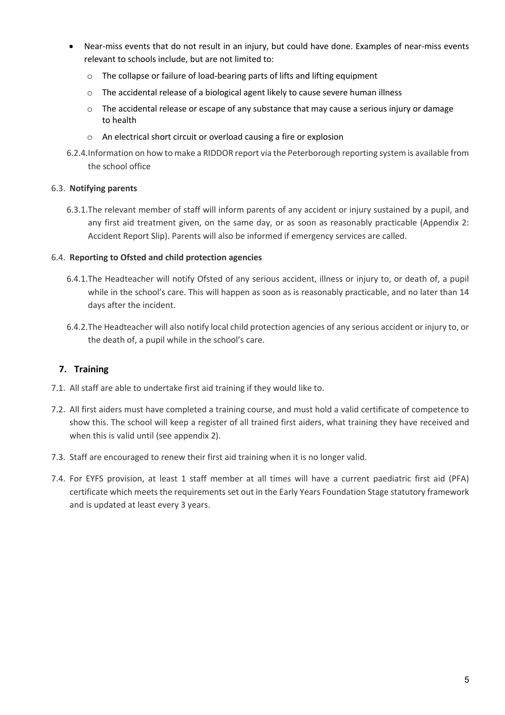- Near-miss events that do not result in an injury, but could have done. Examples of near-miss events relevant to schools include, but are not limited to:
	- o The collapse or failure of load-bearing parts of lifts and lifting equipment
	- o The accidental release of a biological agent likely to cause severe human illness
	- $\circ$  The accidental release or escape of any substance that may cause a serious injury or damage to health
	- o An electrical short circuit or overload causing a fire or explosion
- 6.2.4.Information on how to make a RIDDOR report via the Peterborough reporting system is available from the school office

#### 6.3. **Notifying parents**

6.3.1.The relevant member of staff will inform parents of any accident or injury sustained by a pupil, and any first aid treatment given, on the same day, or as soon as reasonably practicable (Appendix 2: Accident Report Slip). Parents will also be informed if emergency services are called.

#### 6.4. **Reporting to Ofsted and child protection agencies**

- 6.4.1.The Headteacher will notify Ofsted of any serious accident, illness or injury to, or death of, a pupil while in the school's care. This will happen as soon as is reasonably practicable, and no later than 14 days after the incident.
- 6.4.2.The Headteacher will also notify local child protection agencies of any serious accident or injury to, or the death of, a pupil while in the school's care.

#### **7. Training**

- 7.1. All staff are able to undertake first aid training if they would like to.
- 7.2. All first aiders must have completed a training course, and must hold a valid certificate of competence to show this. The school will keep a register of all trained first aiders, what training they have received and when this is valid until (see appendix 2).
- 7.3. Staff are encouraged to renew their first aid training when it is no longer valid.
- 7.4. For EYFS provision, at least 1 staff member at all times will have a current paediatric first aid (PFA) certificate which meets the requirements set out in the Early Years Foundation Stage statutory framework and is updated at least every 3 years.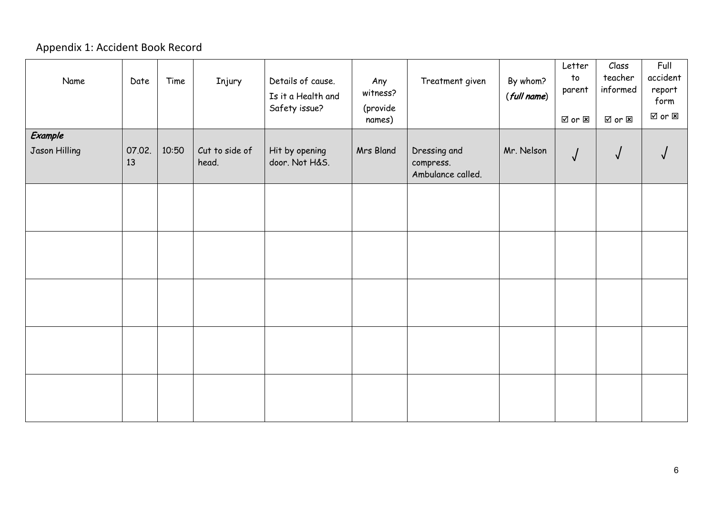## Appendix 1: Accident Book Record

| Name          | Date         | Time  | Injury                  | Details of cause.<br>Is it a Health and<br>Safety issue? | Any<br>witness?<br>(provide<br>names) | Treatment given                                | By whom?<br>(full name) | Letter<br>to<br>parent<br>$\boxtimes$ or $\boxtimes$ | Class<br>teacher<br>informed<br>☑ or ⊠ | Full<br>accident<br>report<br>form<br><b>☑</b> or ⊠ |
|---------------|--------------|-------|-------------------------|----------------------------------------------------------|---------------------------------------|------------------------------------------------|-------------------------|------------------------------------------------------|----------------------------------------|-----------------------------------------------------|
| Example       |              |       |                         |                                                          |                                       |                                                |                         |                                                      |                                        |                                                     |
| Jason Hilling | 07.02.<br>13 | 10:50 | Cut to side of<br>head. | Hit by opening<br>door. Not H&S.                         | Mrs Bland                             | Dressing and<br>compress.<br>Ambulance called. | Mr. Nelson              | $\sqrt{2}$                                           | $\sqrt{ }$                             |                                                     |
|               |              |       |                         |                                                          |                                       |                                                |                         |                                                      |                                        |                                                     |
|               |              |       |                         |                                                          |                                       |                                                |                         |                                                      |                                        |                                                     |
|               |              |       |                         |                                                          |                                       |                                                |                         |                                                      |                                        |                                                     |
|               |              |       |                         |                                                          |                                       |                                                |                         |                                                      |                                        |                                                     |
|               |              |       |                         |                                                          |                                       |                                                |                         |                                                      |                                        |                                                     |
|               |              |       |                         |                                                          |                                       |                                                |                         |                                                      |                                        |                                                     |
|               |              |       |                         |                                                          |                                       |                                                |                         |                                                      |                                        |                                                     |
|               |              |       |                         |                                                          |                                       |                                                |                         |                                                      |                                        |                                                     |
|               |              |       |                         |                                                          |                                       |                                                |                         |                                                      |                                        |                                                     |
|               |              |       |                         |                                                          |                                       |                                                |                         |                                                      |                                        |                                                     |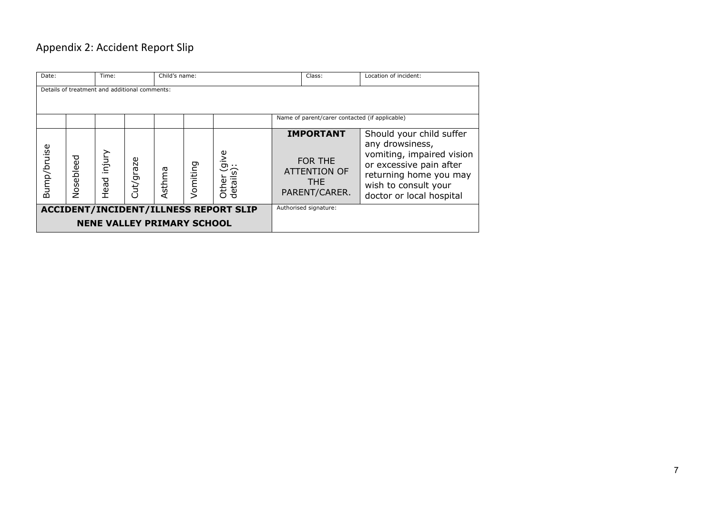## Appendix 2: Accident Report Slip

| Child's name:<br>Date:<br>Time:                                                   |           |                |           | Class: | Location of incident: |                                                |                                                                                   |                                                                                                                                                                                   |
|-----------------------------------------------------------------------------------|-----------|----------------|-----------|--------|-----------------------|------------------------------------------------|-----------------------------------------------------------------------------------|-----------------------------------------------------------------------------------------------------------------------------------------------------------------------------------|
|                                                                                   |           |                |           |        |                       |                                                |                                                                                   |                                                                                                                                                                                   |
| Details of treatment and additional comments:                                     |           |                |           |        |                       |                                                |                                                                                   |                                                                                                                                                                                   |
|                                                                                   |           |                |           |        |                       | Name of parent/carer contacted (if applicable) |                                                                                   |                                                                                                                                                                                   |
| Bump/bruise                                                                       | Nosebleed | injury<br>Head | Cut/graze | Asthma | Vomiting              | vuler (give<br>details):                       | <b>IMPORTANT</b><br>FOR THE<br><b>ATTENTION OF</b><br><b>THE</b><br>PARENT/CARER. | Should your child suffer<br>any drowsiness,<br>vomiting, impaired vision<br>or excessive pain after<br>returning home you may<br>wish to consult your<br>doctor or local hospital |
| <b>ACCIDENT/INCIDENT/ILLNESS REPORT SLIP</b><br><b>NENE VALLEY PRIMARY SCHOOL</b> |           |                |           |        |                       | Authorised signature:                          |                                                                                   |                                                                                                                                                                                   |
|                                                                                   |           |                |           |        |                       |                                                |                                                                                   |                                                                                                                                                                                   |